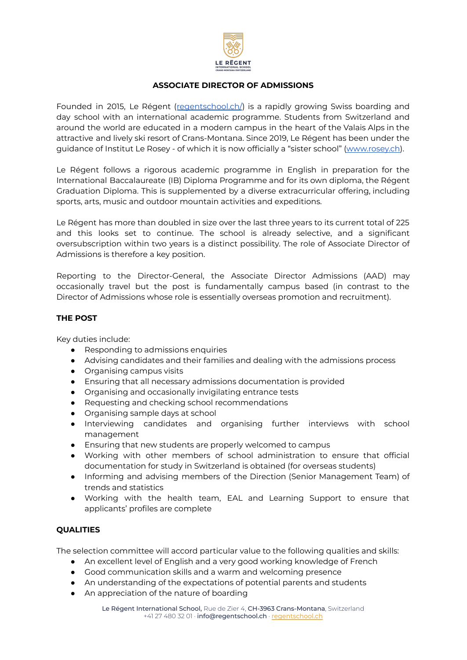

## **ASSOCIATE DIRECTOR OF ADMISSIONS**

Founded in 2015, Le Régent ([regentschool.ch/](https://regentschool.ch/)) is a rapidly growing Swiss boarding and day school with an international academic programme. Students from Switzerland and around the world are educated in a modern campus in the heart of the Valais Alps in the attractive and lively ski resort of Crans-Montana. Since 2019, Le Régent has been under the guidance of Institut Le Rosey - of which it is now officially a "sister school" [\(www.rosey.ch\)](http://www.rosey.ch).

Le Régent follows a rigorous academic programme in English in preparation for the International Baccalaureate (IB) Diploma Programme and for its own diploma, the Régent Graduation Diploma. This is supplemented by a diverse extracurricular offering, including sports, arts, music and outdoor mountain activities and expeditions.

Le Régent has more than doubled in size over the last three years to its current total of 225 and this looks set to continue. The school is already selective, and a significant oversubscription within two years is a distinct possibility. The role of Associate Director of Admissions is therefore a key position.

Reporting to the Director-General, the Associate Director Admissions (AAD) may occasionally travel but the post is fundamentally campus based (in contrast to the Director of Admissions whose role is essentially overseas promotion and recruitment).

## **THE POST**

Key duties include:

- Responding to admissions enquiries
- Advising candidates and their families and dealing with the admissions process
- Organising campus visits
- Ensuring that all necessary admissions documentation is provided
- Organising and occasionally invigilating entrance tests
- Requesting and checking school recommendations
- Organising sample days at school
- Interviewing candidates and organising further interviews with school management
- Ensuring that new students are properly welcomed to campus
- Working with other members of school administration to ensure that official documentation for study in Switzerland is obtained (for overseas students)
- Informing and advising members of the Direction (Senior Management Team) of trends and statistics
- Working with the health team, EAL and Learning Support to ensure that applicants' profiles are complete

## **QUALITIES**

The selection committee will accord particular value to the following qualities and skills:

- An excellent level of English and a very good working knowledge of French
- Good communication skills and a warm and welcoming presence
- An understanding of the expectations of potential parents and students
- An appreciation of the nature of boarding